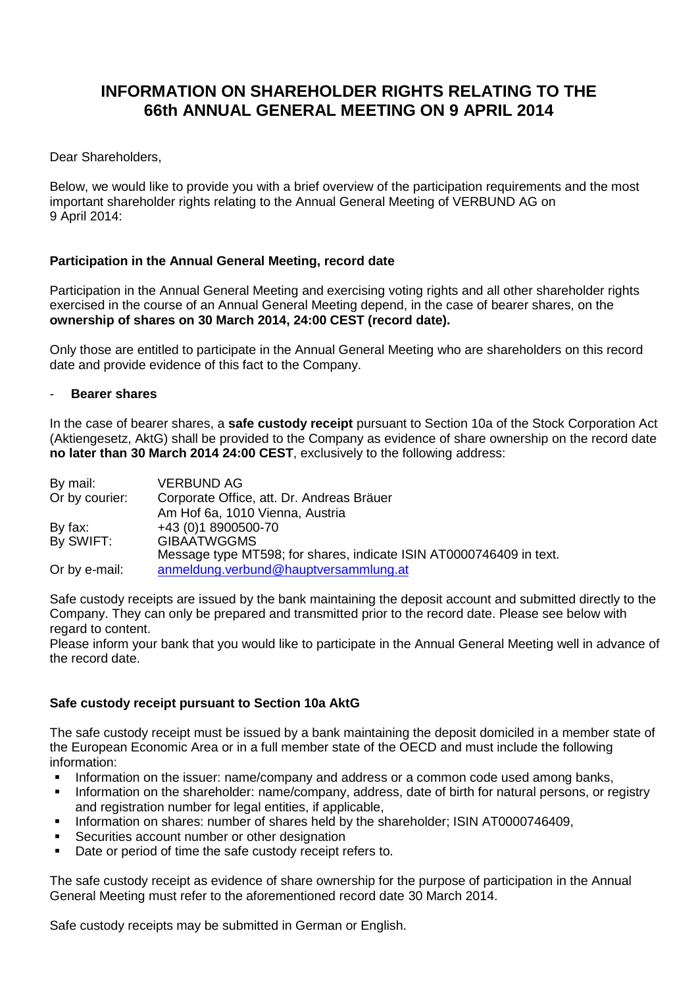# **INFORMATION ON SHAREHOLDER RIGHTS RELATING TO THE 66th ANNUAL GENERAL MEETING ON 9 APRIL 2014**

### Dear Shareholders,

Below, we would like to provide you with a brief overview of the participation requirements and the most important shareholder rights relating to the Annual General Meeting of VERBUND AG on 9 April 2014:

## **Participation in the Annual General Meeting, record date**

Participation in the Annual General Meeting and exercising voting rights and all other shareholder rights exercised in the course of an Annual General Meeting depend, in the case of bearer shares, on the **ownership of shares on 30 March 2014, 24:00 CEST (record date).**

Only those are entitled to participate in the Annual General Meeting who are shareholders on this record date and provide evidence of this fact to the Company.

#### - **Bearer shares**

In the case of bearer shares, a **safe custody receipt** pursuant to Section 10a of the Stock Corporation Act (Aktiengesetz, AktG) shall be provided to the Company as evidence of share ownership on the record date **no later than 30 March 2014 24:00 CEST**, exclusively to the following address:

| By mail:       | <b>VERBUND AG</b>                                                   |
|----------------|---------------------------------------------------------------------|
| Or by courier: | Corporate Office, att. Dr. Andreas Bräuer                           |
|                | Am Hof 6a, 1010 Vienna, Austria                                     |
| By fax:        | +43 (0)1 8900500-70                                                 |
| By SWIFT:      | <b>GIBAATWGGMS</b>                                                  |
|                | Message type MT598; for shares, indicate ISIN AT0000746409 in text. |
| Or by e-mail:  | anmeldung.verbund@hauptversammlung.at                               |

Safe custody receipts are issued by the bank maintaining the deposit account and submitted directly to the Company. They can only be prepared and transmitted prior to the record date. Please see below with regard to content.

Please inform your bank that you would like to participate in the Annual General Meeting well in advance of the record date.

#### **Safe custody receipt pursuant to Section 10a AktG**

The safe custody receipt must be issued by a bank maintaining the deposit domiciled in a member state of the European Economic Area or in a full member state of the OECD and must include the following information:

- Information on the issuer: name/company and address or a common code used among banks,
- Information on the shareholder: name/company, address, date of birth for natural persons, or registry and registration number for legal entities, if applicable,
- Information on shares: number of shares held by the shareholder; ISIN AT0000746409,
- Securities account number or other designation
- Date or period of time the safe custody receipt refers to.

The safe custody receipt as evidence of share ownership for the purpose of participation in the Annual General Meeting must refer to the aforementioned record date 30 March 2014.

Safe custody receipts may be submitted in German or English.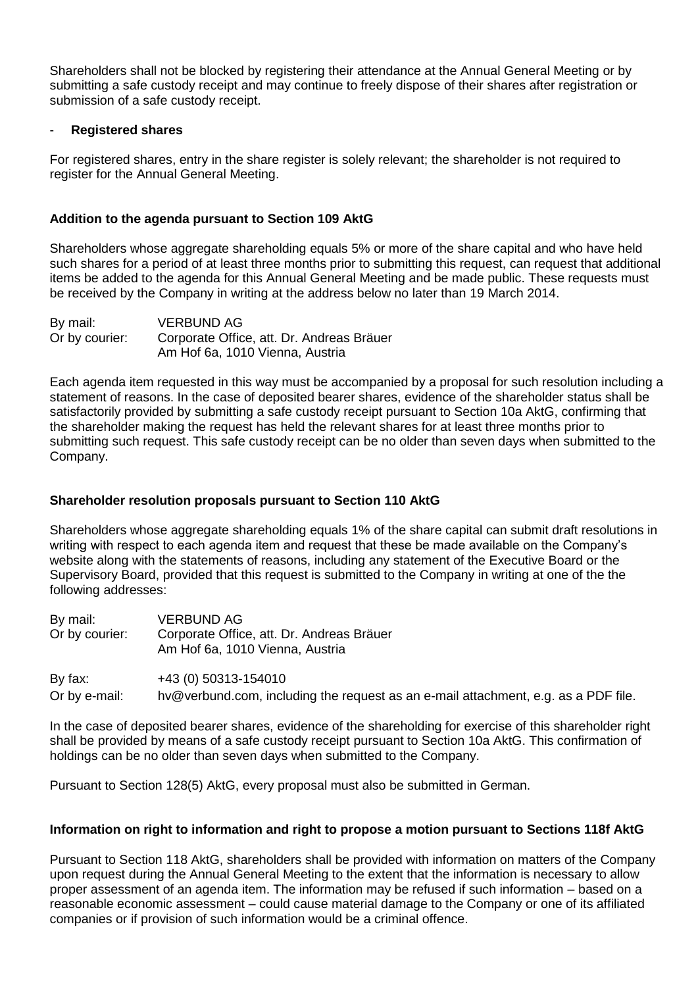Shareholders shall not be blocked by registering their attendance at the Annual General Meeting or by submitting a safe custody receipt and may continue to freely dispose of their shares after registration or submission of a safe custody receipt.

#### - **Registered shares**

For registered shares, entry in the share register is solely relevant; the shareholder is not required to register for the Annual General Meeting.

#### **Addition to the agenda pursuant to Section 109 AktG**

Shareholders whose aggregate shareholding equals 5% or more of the share capital and who have held such shares for a period of at least three months prior to submitting this request, can request that additional items be added to the agenda for this Annual General Meeting and be made public. These requests must be received by the Company in writing at the address below no later than 19 March 2014.

| By mail:       | <b>VERBUND AG</b>                         |
|----------------|-------------------------------------------|
| Or by courier: | Corporate Office, att. Dr. Andreas Bräuer |
|                | Am Hof 6a, 1010 Vienna, Austria           |

Each agenda item requested in this way must be accompanied by a proposal for such resolution including a statement of reasons. In the case of deposited bearer shares, evidence of the shareholder status shall be satisfactorily provided by submitting a safe custody receipt pursuant to Section 10a AktG, confirming that the shareholder making the request has held the relevant shares for at least three months prior to submitting such request. This safe custody receipt can be no older than seven days when submitted to the Company.

#### **Shareholder resolution proposals pursuant to Section 110 AktG**

Shareholders whose aggregate shareholding equals 1% of the share capital can submit draft resolutions in writing with respect to each agenda item and request that these be made available on the Company's website along with the statements of reasons, including any statement of the Executive Board or the Supervisory Board, provided that this request is submitted to the Company in writing at one of the the following addresses:

| By mail:<br>Or by courier: | <b>VERBUND AG</b><br>Corporate Office, att. Dr. Andreas Bräuer<br>Am Hof 6a, 1010 Vienna, Austria |
|----------------------------|---------------------------------------------------------------------------------------------------|
| By fax:                    | +43 (0) 50313-154010                                                                              |
| Or by e-mail:              | hv@verbund.com, including the request as an e-mail attachment, e.g. as a PDF file.                |

In the case of deposited bearer shares, evidence of the shareholding for exercise of this shareholder right shall be provided by means of a safe custody receipt pursuant to Section 10a AktG. This confirmation of holdings can be no older than seven days when submitted to the Company.

Pursuant to Section 128(5) AktG, every proposal must also be submitted in German.

#### **Information on right to information and right to propose a motion pursuant to Sections 118f AktG**

Pursuant to Section 118 AktG, shareholders shall be provided with information on matters of the Company upon request during the Annual General Meeting to the extent that the information is necessary to allow proper assessment of an agenda item. The information may be refused if such information – based on a reasonable economic assessment – could cause material damage to the Company or one of its affiliated companies or if provision of such information would be a criminal offence.